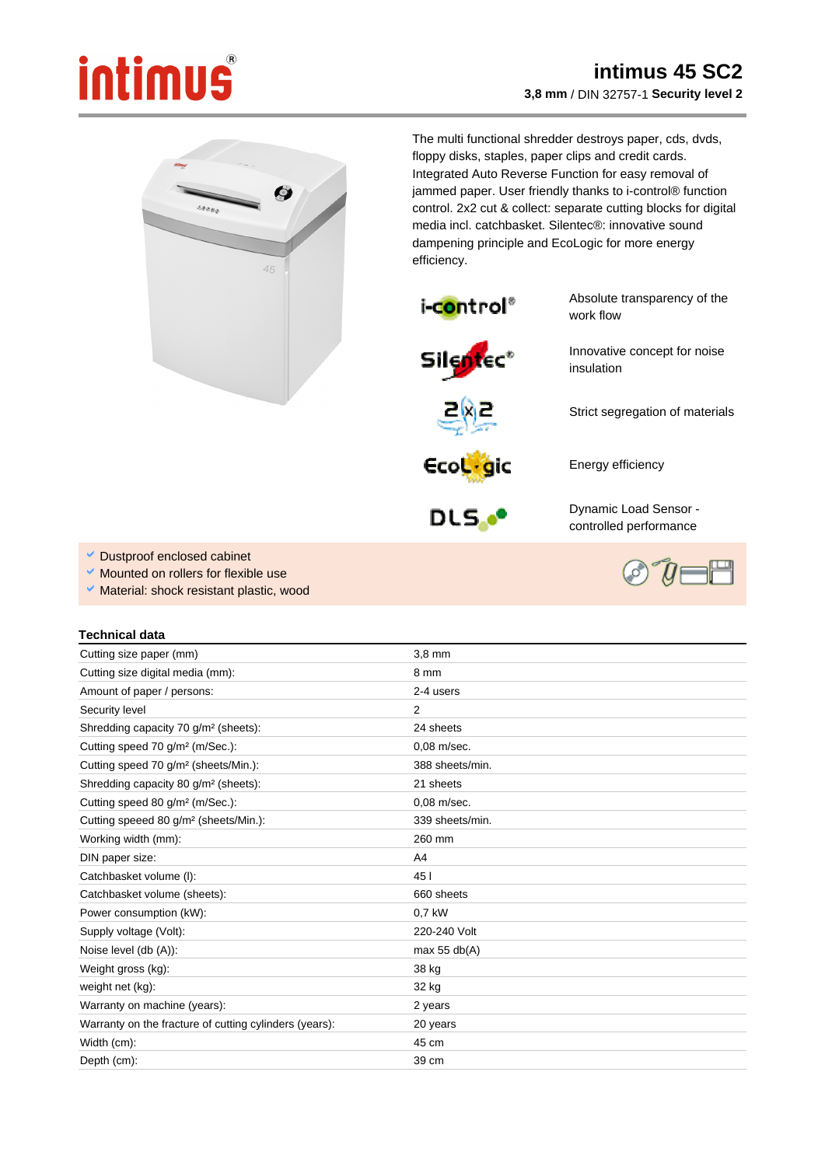## intimus

## **intimus 45 SC2 3,8 mm** / DIN 32757-1 **Security level 2**



The multi functional shredder destroys paper, cds, dvds, floppy disks, staples, paper clips and credit cards. Integrated Auto Reverse Function for easy removal of jammed paper. User friendly thanks to i-control® function control. 2x2 cut & collect: separate cutting blocks for digital media incl. catchbasket. Silentec®: innovative sound dampening principle and EcoLogic for more energy efficiency.

insulation



Absolute transparency of the work flow

Innovative concept for noise

Strict segregation of materials



Ecologic

DLS.<sup>oo</sup>

Dynamic Load Sensor controlled performance

Energy efficiency

- Dustproof enclosed cabinet
- Mounted on rollers for flexible use
- Material: shock resistant plastic, wood

## **Technical data**

| Cutting size paper (mm)                                | $3.8$ mm        |
|--------------------------------------------------------|-----------------|
| Cutting size digital media (mm):                       | 8 mm            |
| Amount of paper / persons:                             | 2-4 users       |
| Security level                                         | 2               |
| Shredding capacity 70 g/m <sup>2</sup> (sheets):       | 24 sheets       |
| Cutting speed 70 g/m <sup>2</sup> (m/Sec.):            | $0.08$ m/sec.   |
| Cutting speed 70 g/m <sup>2</sup> (sheets/Min.):       | 388 sheets/min. |
| Shredding capacity 80 g/m <sup>2</sup> (sheets):       | 21 sheets       |
| Cutting speed 80 g/m <sup>2</sup> (m/Sec.):            | $0.08$ m/sec.   |
| Cutting speeed 80 g/m <sup>2</sup> (sheets/Min.):      | 339 sheets/min. |
| Working width (mm):                                    | 260 mm          |
| DIN paper size:                                        | A4              |
| Catchbasket volume (I):                                | 45 I            |
| Catchbasket volume (sheets):                           | 660 sheets      |
| Power consumption (kW):                                | 0.7 kW          |
| Supply voltage (Volt):                                 | 220-240 Volt    |
| Noise level (db (A)):                                  | max $55$ db(A)  |
| Weight gross (kg):                                     | 38 kg           |
| weight net (kg):                                       | 32 kg           |
| Warranty on machine (years):                           | 2 years         |
| Warranty on the fracture of cutting cylinders (years): | 20 years        |
| Width (cm):                                            | 45 cm           |
| Depth (cm):                                            | 39 cm           |